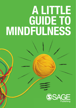# A LITTLE GUIDE TO MINDFULNESS

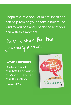I hope this little book of mindfulness tips can help remind you to take a breath, be kind to yourself and just do the best you can with this moment.

Best wishes for the journey ahead!

#### Kevin Hawkins

Co-founder of MindWell and author of Mindful Teacher, Mindful School (June 2017)

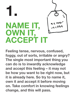

Feeling tense, nervous, confused, foggy, out of sorts, irritable or angry? The single most important thing you can do is to inwardly acknowledge and accept this feeling – it may not be how you want to be right now, but it is already here. So try to name it, own it and accept it before moving on. Take comfort in knowing feelings change, and this will pass.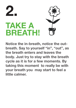

Notice the in-breath, notice the outbreath. Say to yourself "in", "out", as the breath enters and leaves the body. Just try to stay with the breath cycle as it is for a few moments. By taking this moment to really be with your breath you may start to feel a little calmer.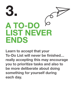

Learn to accept that your To-Do List will never be finished… really accepting this may encourage you to prioritize tasks and also to be more deliberate about doing something for yourself during each day.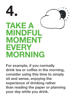

For example, if you normally drink tea or coffee in the morning, consider using this time to simply sit and sense, enjoying the experience of drinking rather than reading the paper or planning your day while you drink.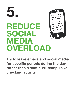### 5. REDUCE SOCIAL MEDIA **OVERLOAD**

Try to leave emails and social media for specific periods during the day rather than a continual, compulsive checking activity.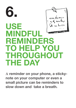#### 6. USE **MINDFU** REMINDERS TO HELP YOU THROUGHOUT THE DAY

**A** reminder on your phone, a stickynote on your computer or even a small picture can be reminders to slow down and take a breath.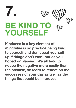

Kindness is a key element of mindfulness so practice being kind to yourself and don't beat yourself up if things don't work out as you hoped or planned. We all tend to notice the negative more easily than the positive, so learn to reflect on the successes of your day as well as the things that could be improved.